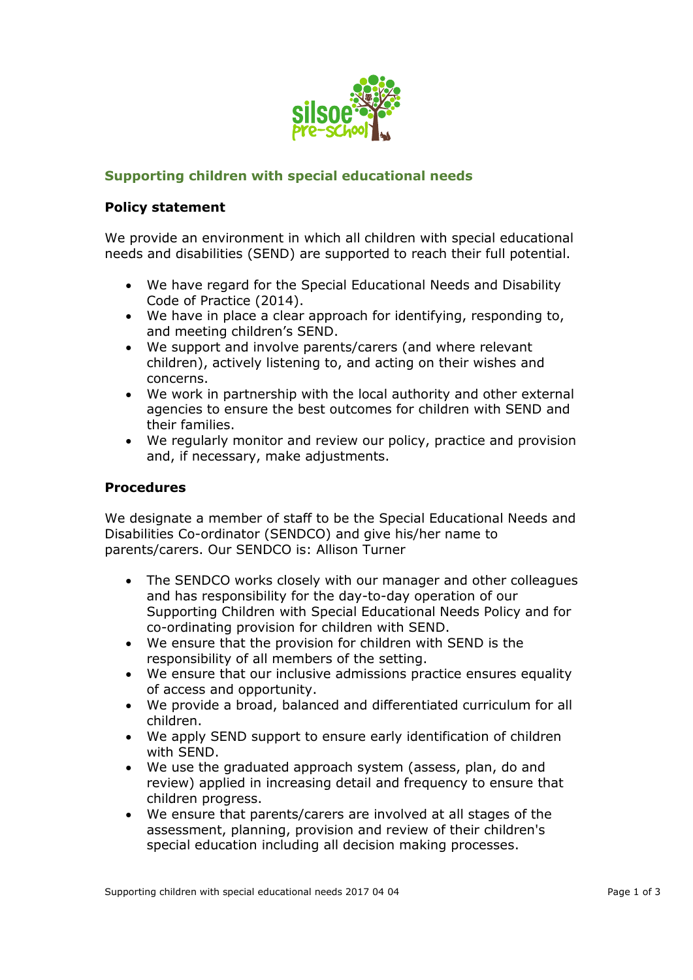

## **Supporting children with special educational needs**

## **Policy statement**

We provide an environment in which all children with special educational needs and disabilities (SEND) are supported to reach their full potential.

- We have regard for the Special Educational Needs and Disability Code of Practice (2014).
- We have in place a clear approach for identifying, responding to, and meeting children's SEND.
- We support and involve parents/carers (and where relevant children), actively listening to, and acting on their wishes and concerns.
- We work in partnership with the local authority and other external agencies to ensure the best outcomes for children with SEND and their families.
- We regularly monitor and review our policy, practice and provision and, if necessary, make adjustments.

## **Procedures**

We designate a member of staff to be the Special Educational Needs and Disabilities Co-ordinator (SENDCO) and give his/her name to parents/carers. Our SENDCO is: Allison Turner

- The SENDCO works closely with our manager and other colleagues and has responsibility for the day-to-day operation of our Supporting Children with Special Educational Needs Policy and for co-ordinating provision for children with SEND.
- We ensure that the provision for children with SEND is the responsibility of all members of the setting.
- We ensure that our inclusive admissions practice ensures equality of access and opportunity.
- We provide a broad, balanced and differentiated curriculum for all children.
- We apply SEND support to ensure early identification of children with SEND.
- We use the graduated approach system (assess, plan, do and review) applied in increasing detail and frequency to ensure that children progress.
- We ensure that parents/carers are involved at all stages of the assessment, planning, provision and review of their children's special education including all decision making processes.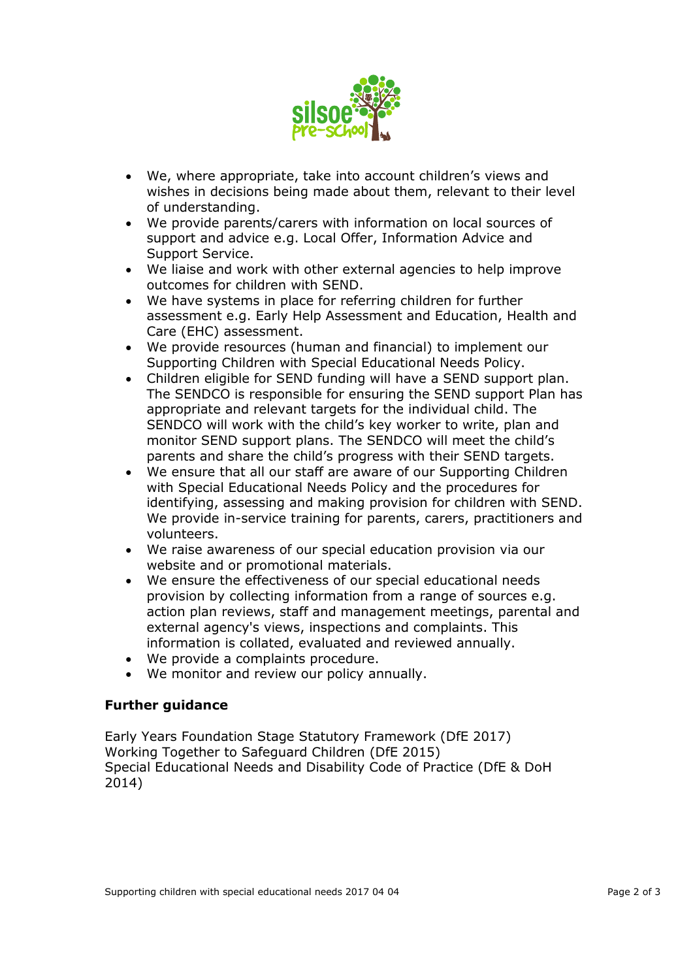

- We, where appropriate, take into account children's views and wishes in decisions being made about them, relevant to their level of understanding.
- We provide parents/carers with information on local sources of support and advice e.g. Local Offer, Information Advice and Support Service.
- We liaise and work with other external agencies to help improve outcomes for children with SEND.
- We have systems in place for referring children for further assessment e.g. Early Help Assessment and Education, Health and Care (EHC) assessment.
- We provide resources (human and financial) to implement our Supporting Children with Special Educational Needs Policy.
- Children eligible for SEND funding will have a SEND support plan. The SENDCO is responsible for ensuring the SEND support Plan has appropriate and relevant targets for the individual child. The SENDCO will work with the child's key worker to write, plan and monitor SEND support plans. The SENDCO will meet the child's parents and share the child's progress with their SEND targets.
- We ensure that all our staff are aware of our Supporting Children with Special Educational Needs Policy and the procedures for identifying, assessing and making provision for children with SEND. We provide in-service training for parents, carers, practitioners and volunteers.
- We raise awareness of our special education provision via our website and or promotional materials.
- We ensure the effectiveness of our special educational needs provision by collecting information from a range of sources e.g. action plan reviews, staff and management meetings, parental and external agency's views, inspections and complaints. This information is collated, evaluated and reviewed annually.
- We provide a complaints procedure.
- We monitor and review our policy annually.

## **Further guidance**

Early Years Foundation Stage Statutory Framework (DfE 2017) Working Together to Safeguard Children (DfE 2015) Special Educational Needs and Disability Code of Practice (DfE & DoH 2014)